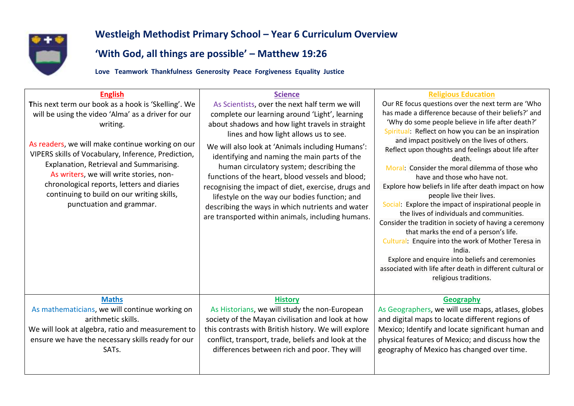

## **Westleigh Methodist Primary School – Year 6 Curriculum Overview**

## **'With God, all things are possible' – Matthew 19:26**

**Love Teamwork Thankfulness Generosity Peace Forgiveness Equality Justice**

| <b>English</b><br>This next term our book as a hook is 'Skelling'. We<br>will be using the video 'Alma' as a driver for our<br>writing.<br>As readers, we will make continue working on our<br>VIPERS skills of Vocabulary, Inference, Prediction,<br>Explanation, Retrieval and Summarising.<br>As writers, we will write stories, non-<br>chronological reports, letters and diaries<br>continuing to build on our writing skills,<br>punctuation and grammar. | <b>Science</b><br>As Scientists, over the next half term we will<br>complete our learning around 'Light', learning<br>about shadows and how light travels in straight<br>lines and how light allows us to see.<br>We will also look at 'Animals including Humans':<br>identifying and naming the main parts of the<br>human circulatory system; describing the<br>functions of the heart, blood vessels and blood;<br>recognising the impact of diet, exercise, drugs and<br>lifestyle on the way our bodies function; and<br>describing the ways in which nutrients and water<br>are transported within animals, including humans. | <b>Religious Education</b><br>Our RE focus questions over the next term are 'Who<br>has made a difference because of their beliefs?' and<br>'Why do some people believe in life after death?'<br>Spiritual: Reflect on how you can be an inspiration<br>and impact positively on the lives of others.<br>Reflect upon thoughts and feelings about life after<br>death.<br>Moral: Consider the moral dilemma of those who<br>have and those who have not.<br>Explore how beliefs in life after death impact on how<br>people live their lives.<br>Social: Explore the impact of inspirational people in<br>the lives of individuals and communities.<br>Consider the tradition in society of having a ceremony<br>that marks the end of a person's life.<br>Cultural: Enquire into the work of Mother Teresa in<br>India.<br>Explore and enquire into beliefs and ceremonies<br>associated with life after death in different cultural or<br>religious traditions. |
|------------------------------------------------------------------------------------------------------------------------------------------------------------------------------------------------------------------------------------------------------------------------------------------------------------------------------------------------------------------------------------------------------------------------------------------------------------------|-------------------------------------------------------------------------------------------------------------------------------------------------------------------------------------------------------------------------------------------------------------------------------------------------------------------------------------------------------------------------------------------------------------------------------------------------------------------------------------------------------------------------------------------------------------------------------------------------------------------------------------|-------------------------------------------------------------------------------------------------------------------------------------------------------------------------------------------------------------------------------------------------------------------------------------------------------------------------------------------------------------------------------------------------------------------------------------------------------------------------------------------------------------------------------------------------------------------------------------------------------------------------------------------------------------------------------------------------------------------------------------------------------------------------------------------------------------------------------------------------------------------------------------------------------------------------------------------------------------------|
| <b>Maths</b>                                                                                                                                                                                                                                                                                                                                                                                                                                                     | <b>History</b>                                                                                                                                                                                                                                                                                                                                                                                                                                                                                                                                                                                                                      | Geography                                                                                                                                                                                                                                                                                                                                                                                                                                                                                                                                                                                                                                                                                                                                                                                                                                                                                                                                                         |
| As mathematicians, we will continue working on                                                                                                                                                                                                                                                                                                                                                                                                                   | As Historians, we will study the non-European                                                                                                                                                                                                                                                                                                                                                                                                                                                                                                                                                                                       | As Geographers, we will use maps, atlases, globes                                                                                                                                                                                                                                                                                                                                                                                                                                                                                                                                                                                                                                                                                                                                                                                                                                                                                                                 |
| arithmetic skills.                                                                                                                                                                                                                                                                                                                                                                                                                                               | society of the Mayan civilisation and look at how                                                                                                                                                                                                                                                                                                                                                                                                                                                                                                                                                                                   | and digital maps to locate different regions of                                                                                                                                                                                                                                                                                                                                                                                                                                                                                                                                                                                                                                                                                                                                                                                                                                                                                                                   |
| We will look at algebra, ratio and measurement to                                                                                                                                                                                                                                                                                                                                                                                                                | this contrasts with British history. We will explore                                                                                                                                                                                                                                                                                                                                                                                                                                                                                                                                                                                | Mexico; Identify and locate significant human and                                                                                                                                                                                                                                                                                                                                                                                                                                                                                                                                                                                                                                                                                                                                                                                                                                                                                                                 |
| ensure we have the necessary skills ready for our                                                                                                                                                                                                                                                                                                                                                                                                                | conflict, transport, trade, beliefs and look at the                                                                                                                                                                                                                                                                                                                                                                                                                                                                                                                                                                                 | physical features of Mexico; and discuss how the                                                                                                                                                                                                                                                                                                                                                                                                                                                                                                                                                                                                                                                                                                                                                                                                                                                                                                                  |
| SATs.                                                                                                                                                                                                                                                                                                                                                                                                                                                            | differences between rich and poor. They will                                                                                                                                                                                                                                                                                                                                                                                                                                                                                                                                                                                        | geography of Mexico has changed over time.                                                                                                                                                                                                                                                                                                                                                                                                                                                                                                                                                                                                                                                                                                                                                                                                                                                                                                                        |